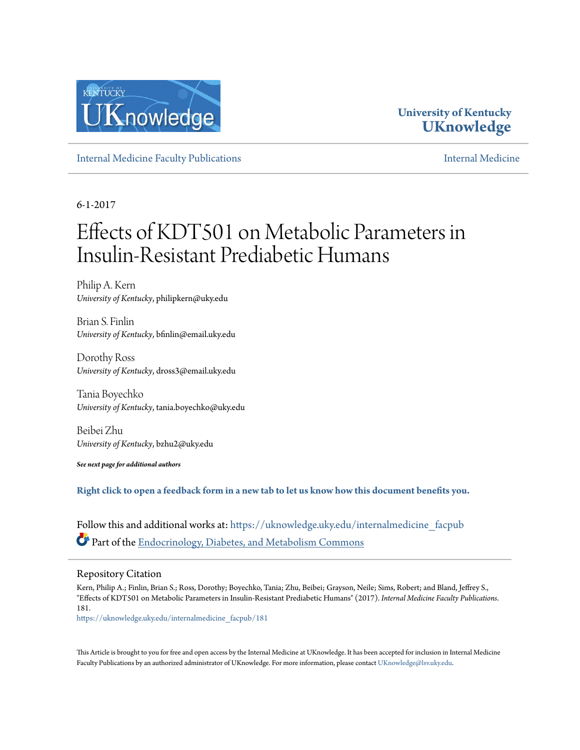

## **University of Kentucky [UKnowledge](https://uknowledge.uky.edu?utm_source=uknowledge.uky.edu%2Finternalmedicine_facpub%2F181&utm_medium=PDF&utm_campaign=PDFCoverPages)**

[Internal Medicine Faculty Publications](https://uknowledge.uky.edu/internalmedicine_facpub?utm_source=uknowledge.uky.edu%2Finternalmedicine_facpub%2F181&utm_medium=PDF&utm_campaign=PDFCoverPages) **[Internal Medicine](https://uknowledge.uky.edu/internalmedicine?utm_source=uknowledge.uky.edu%2Finternalmedicine_facpub%2F181&utm_medium=PDF&utm_campaign=PDFCoverPages)** 

6-1-2017

# Effects of KDT501 on Metabolic Parameters in Insulin-Resistant Prediabetic Humans

Philip A. Kern *University of Kentucky*, philipkern@uky.edu

Brian S. Finlin *University of Kentucky*, bfinlin@email.uky.edu

Dorothy Ross *University of Kentucky*, dross3@email.uky.edu

Tania Boyechko *University of Kentucky*, tania.boyechko@uky.edu

Beibei Zhu *University of Kentucky*, bzhu2@uky.edu

*See next page for additional authors*

**[Right click to open a feedback form in a new tab to let us know how this document benefits you.](https://uky.az1.qualtrics.com/jfe/form/SV_9mq8fx2GnONRfz7)**

Follow this and additional works at: [https://uknowledge.uky.edu/internalmedicine\\_facpub](https://uknowledge.uky.edu/internalmedicine_facpub?utm_source=uknowledge.uky.edu%2Finternalmedicine_facpub%2F181&utm_medium=PDF&utm_campaign=PDFCoverPages) Part of the [Endocrinology, Diabetes, and Metabolism Commons](http://network.bepress.com/hgg/discipline/686?utm_source=uknowledge.uky.edu%2Finternalmedicine_facpub%2F181&utm_medium=PDF&utm_campaign=PDFCoverPages)

## Repository Citation

Kern, Philip A.; Finlin, Brian S.; Ross, Dorothy; Boyechko, Tania; Zhu, Beibei; Grayson, Neile; Sims, Robert; and Bland, Jeffrey S., "Effects of KDT501 on Metabolic Parameters in Insulin-Resistant Prediabetic Humans" (2017). *Internal Medicine Faculty Publications*. 181.

[https://uknowledge.uky.edu/internalmedicine\\_facpub/181](https://uknowledge.uky.edu/internalmedicine_facpub/181?utm_source=uknowledge.uky.edu%2Finternalmedicine_facpub%2F181&utm_medium=PDF&utm_campaign=PDFCoverPages)

This Article is brought to you for free and open access by the Internal Medicine at UKnowledge. It has been accepted for inclusion in Internal Medicine Faculty Publications by an authorized administrator of UKnowledge. For more information, please contact [UKnowledge@lsv.uky.edu](mailto:UKnowledge@lsv.uky.edu).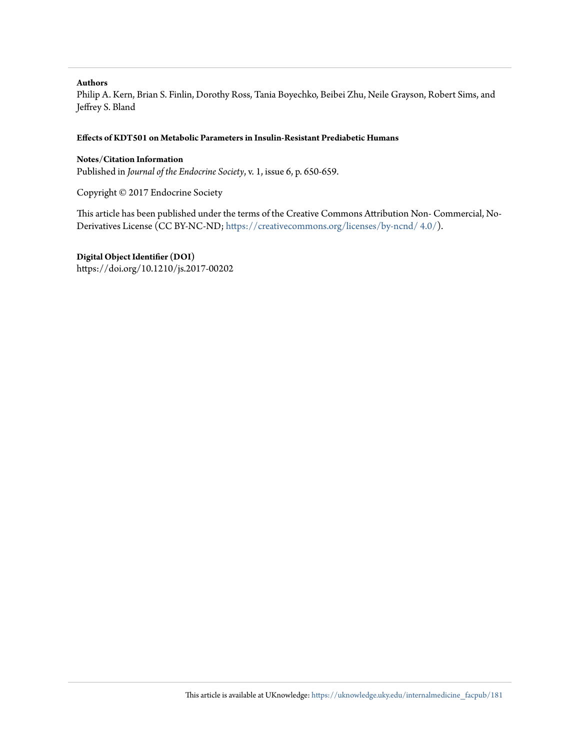## **Authors**

Philip A. Kern, Brian S. Finlin, Dorothy Ross, Tania Boyechko, Beibei Zhu, Neile Grayson, Robert Sims, and Jeffrey S. Bland

## **Effects of KDT501 on Metabolic Parameters in Insulin-Resistant Prediabetic Humans**

## **Notes/Citation Information**

Published in *Journal of the Endocrine Society*, v. 1, issue 6, p. 650-659.

Copyright © 2017 Endocrine Society

This article has been published under the terms of the Creative Commons Attribution Non- Commercial, No-Derivatives License (CC BY-NC-ND; [https://creativecommons.org/licenses/by-ncnd/ 4.0/](https://creativecommons.org/licenses/by-nc-nd/4.0/)).

**Digital Object Identifier (DOI)**

https://doi.org/10.1210/js.2017-00202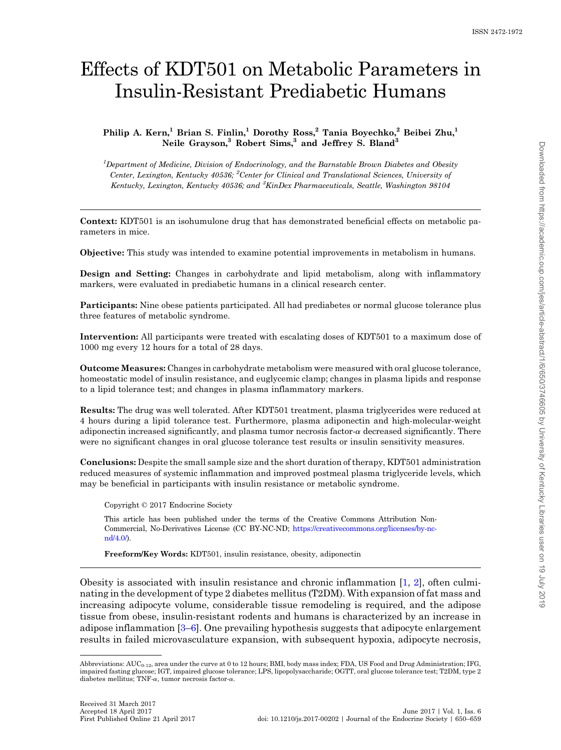## Effects of KDT501 on Metabolic Parameters in Insulin-Resistant Prediabetic Humans

Philip A. Kern,<sup>1</sup> Brian S. Finlin,<sup>1</sup> Dorothy Ross,<sup>2</sup> Tania Boyechko,<sup>2</sup> Beibei Zhu,<sup>1</sup> Neile Grayson,<sup>3</sup> Robert Sims,<sup>3</sup> and Jeffrey S. Bland<sup>3</sup>

<sup>1</sup>Department of Medicine, Division of Endocrinology, and the Barnstable Brown Diabetes and Obesity Center, Lexington, Kentucky 40536; <sup>2</sup>Center for Clinical and Translational Sciences, University of Kentucky, Lexington, Kentucky 40536; and <sup>3</sup>KinDex Pharmaceuticals, Seattle, Washington 98104

Context: KDT501 is an isohumulone drug that has demonstrated beneficial effects on metabolic parameters in mice.

Objective: This study was intended to examine potential improvements in metabolism in humans.

Design and Setting: Changes in carbohydrate and lipid metabolism, along with inflammatory markers, were evaluated in prediabetic humans in a clinical research center.

Participants: Nine obese patients participated. All had prediabetes or normal glucose tolerance plus three features of metabolic syndrome.

Intervention: All participants were treated with escalating doses of KDT501 to a maximum dose of 1000 mg every 12 hours for a total of 28 days.

Outcome Measures: Changes in carbohydrate metabolism were measured with oral glucose tolerance, homeostatic model of insulin resistance, and euglycemic clamp; changes in plasma lipids and response to a lipid tolerance test; and changes in plasma inflammatory markers.

Results: The drug was well tolerated. After KDT501 treatment, plasma triglycerides were reduced at 4 hours during a lipid tolerance test. Furthermore, plasma adiponectin and high-molecular-weight adiponectin increased significantly, and plasma tumor necrosis factor- $\alpha$  decreased significantly. There were no significant changes in oral glucose tolerance test results or insulin sensitivity measures.

Conclusions: Despite the small sample size and the short duration of therapy, KDT501 administration reduced measures of systemic inflammation and improved postmeal plasma triglyceride levels, which may be beneficial in participants with insulin resistance or metabolic syndrome.

Copyright © 2017 Endocrine Society

This article has been published under the terms of the Creative Commons Attribution Non-Commercial, No-Derivatives License (CC BY-NC-ND; [https://creativecommons.org/licenses/by-nc](https://creativecommons.org/licenses/by-nc-nd/4.0/) $nd/4.0$ .

Freeform/Key Words: KDT501, insulin resistance, obesity, adiponectin

Obesity is associated with insulin resistance and chronic inflammation [[1](#page-10-0), [2\]](#page-10-0), often culminating in the development of type 2 diabetes mellitus (T2DM). With expansion of fat mass and increasing adipocyte volume, considerable tissue remodeling is required, and the adipose tissue from obese, insulin-resistant rodents and humans is characterized by an increase in adipose inflammation [\[3](#page-10-0)–[6\]](#page-10-0). One prevailing hypothesis suggests that adipocyte enlargement results in failed microvasculature expansion, with subsequent hypoxia, adipocyte necrosis,

Abbreviations: AUC<sub>0-12</sub>, area under the curve at 0 to 12 hours; BMI, body mass index; FDA, US Food and Drug Administration; IFG, impaired fasting glucose; IGT, impaired glucose tolerance; LPS, lipopolysaccharide; OGTT, oral glucose tolerance test; T2DM, type 2 diabetes mellitus; TNF- $\alpha$ , tumor necrosis factor- $\alpha$ .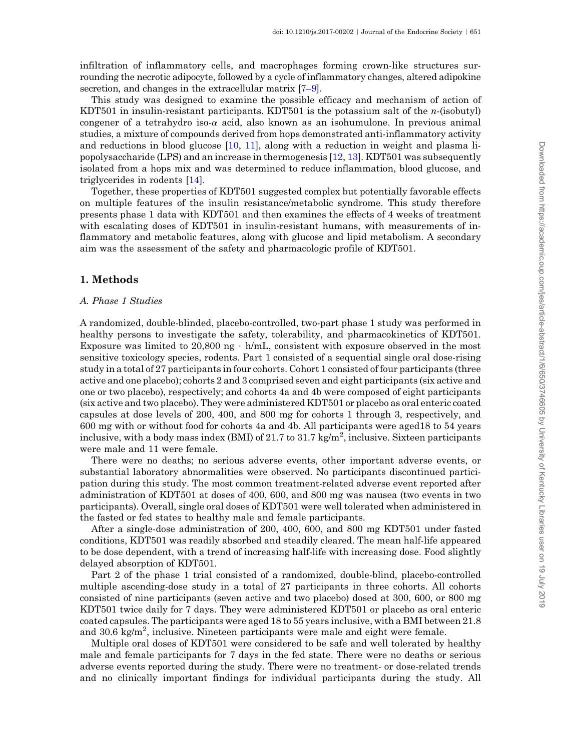infiltration of inflammatory cells, and macrophages forming crown-like structures surrounding the necrotic adipocyte, followed by a cycle of inflammatory changes, altered adipokine secretion, and changes in the extracellular matrix  $[7-9]$  $[7-9]$  $[7-9]$  $[7-9]$  $[7-9]$ .

This study was designed to examine the possible efficacy and mechanism of action of KDT501 in insulin-resistant participants. KDT501 is the potassium salt of the n-(isobutyl) congener of a tetrahydro iso- $\alpha$  acid, also known as an isohumulone. In previous animal studies, a mixture of compounds derived from hops demonstrated anti-inflammatory activity and reductions in blood glucose [[10,](#page-10-0) [11](#page-10-0)], along with a reduction in weight and plasma lipopolysaccharide (LPS) and an increase in thermogenesis [[12,](#page-10-0) [13](#page-10-0)]. KDT501 was subsequently isolated from a hops mix and was determined to reduce inflammation, blood glucose, and triglycerides in rodents [[14\]](#page-10-0).

Together, these properties of KDT501 suggested complex but potentially favorable effects on multiple features of the insulin resistance/metabolic syndrome. This study therefore presents phase 1 data with KDT501 and then examines the effects of 4 weeks of treatment with escalating doses of KDT501 in insulin-resistant humans, with measurements of inflammatory and metabolic features, along with glucose and lipid metabolism. A secondary aim was the assessment of the safety and pharmacologic profile of KDT501.

## 1. Methods

## A. Phase 1 Studies

A randomized, double-blinded, placebo-controlled, two-part phase 1 study was performed in healthy persons to investigate the safety, tolerability, and pharmacokinetics of KDT501. Exposure was limited to 20,800 ng  $\cdot$  h/mL, consistent with exposure observed in the most sensitive toxicology species, rodents. Part 1 consisted of a sequential single oral dose-rising study in a total of 27 participants in four cohorts. Cohort 1 consisted of four participants (three active and one placebo); cohorts 2 and 3 comprised seven and eight participants (six active and one or two placebo), respectively; and cohorts 4a and 4b were composed of eight participants (six active and two placebo). They were administered KDT501 or placebo as oral enteric coated capsules at dose levels of 200, 400, and 800 mg for cohorts 1 through 3, respectively, and 600 mg with or without food for cohorts 4a and 4b. All participants were aged18 to 54 years inclusive, with a body mass index (BMI) of 21.7 to 31.7 kg/m<sup>2</sup>, inclusive. Sixteen participants were male and 11 were female.

There were no deaths; no serious adverse events, other important adverse events, or substantial laboratory abnormalities were observed. No participants discontinued participation during this study. The most common treatment-related adverse event reported after administration of KDT501 at doses of 400, 600, and 800 mg was nausea (two events in two participants). Overall, single oral doses of KDT501 were well tolerated when administered in the fasted or fed states to healthy male and female participants.

After a single-dose administration of 200, 400, 600, and 800 mg KDT501 under fasted conditions, KDT501 was readily absorbed and steadily cleared. The mean half-life appeared to be dose dependent, with a trend of increasing half-life with increasing dose. Food slightly delayed absorption of KDT501.

Part 2 of the phase 1 trial consisted of a randomized, double-blind, placebo-controlled multiple ascending-dose study in a total of 27 participants in three cohorts. All cohorts consisted of nine participants (seven active and two placebo) dosed at 300, 600, or 800 mg KDT501 twice daily for 7 days. They were administered KDT501 or placebo as oral enteric coated capsules. The participants were aged 18 to 55 years inclusive, with a BMI between 21.8 and 30.6 kg/m<sup>2</sup>, inclusive. Nineteen participants were male and eight were female.

Multiple oral doses of KDT501 were considered to be safe and well tolerated by healthy male and female participants for 7 days in the fed state. There were no deaths or serious adverse events reported during the study. There were no treatment- or dose-related trends and no clinically important findings for individual participants during the study. All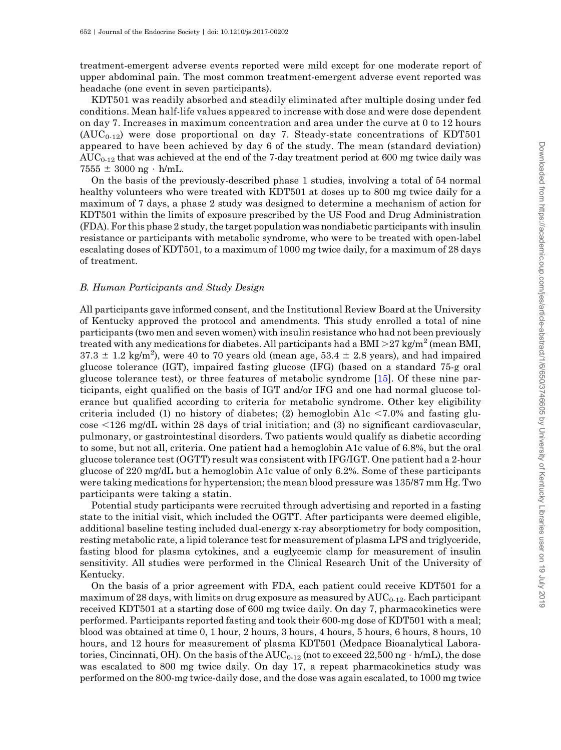treatment-emergent adverse events reported were mild except for one moderate report of upper abdominal pain. The most common treatment-emergent adverse event reported was headache (one event in seven participants).

KDT501 was readily absorbed and steadily eliminated after multiple dosing under fed conditions. Mean half-life values appeared to increase with dose and were dose dependent on day 7. Increases in maximum concentration and area under the curve at 0 to 12 hours  $(AUC_{0.12})$  were dose proportional on day 7. Steady-state concentrations of KDT501 appeared to have been achieved by day 6 of the study. The mean (standard deviation)  $\mathrm{AUC}_{0.12}$  that was achieved at the end of the 7-day treatment period at 600 mg twice daily was  $7555 \pm 3000$  ng · h/mL.

On the basis of the previously-described phase 1 studies, involving a total of 54 normal healthy volunteers who were treated with KDT501 at doses up to 800 mg twice daily for a maximum of 7 days, a phase 2 study was designed to determine a mechanism of action for KDT501 within the limits of exposure prescribed by the US Food and Drug Administration (FDA). For this phase 2 study, the target population was nondiabetic participants with insulin resistance or participants with metabolic syndrome, who were to be treated with open-label escalating doses of KDT501, to a maximum of 1000 mg twice daily, for a maximum of 28 days of treatment.

## B. Human Participants and Study Design

All participants gave informed consent, and the Institutional Review Board at the University of Kentucky approved the protocol and amendments. This study enrolled a total of nine participants (two men and seven women) with insulin resistance who had not been previously treated with any medications for diabetes. All participants had a BMI  $>$ 27 kg/m<sup>2</sup> (mean BMI,  $37.3 \pm 1.2$  kg/m<sup>2</sup>), were 40 to 70 years old (mean age,  $53.4 \pm 2.8$  years), and had impaired glucose tolerance (IGT), impaired fasting glucose (IFG) (based on a standard 75-g oral glucose tolerance test), or three features of metabolic syndrome [[15\]](#page-10-0). Of these nine participants, eight qualified on the basis of IGT and/or IFG and one had normal glucose tolerance but qualified according to criteria for metabolic syndrome. Other key eligibility criteria included (1) no history of diabetes; (2) hemoglobin A1c  $\leq$ 7.0% and fasting glu- $\cos \epsilon$  <126 mg/dL within 28 days of trial initiation; and (3) no significant cardiovascular, pulmonary, or gastrointestinal disorders. Two patients would qualify as diabetic according to some, but not all, criteria. One patient had a hemoglobin A1c value of 6.8%, but the oral glucose tolerance test (OGTT) result was consistent with IFG/IGT. One patient had a 2-hour glucose of 220 mg/dL but a hemoglobin A1c value of only 6.2%. Some of these participants were taking medications for hypertension; the mean blood pressure was 135/87 mm Hg. Two participants were taking a statin.

Potential study participants were recruited through advertising and reported in a fasting state to the initial visit, which included the OGTT. After participants were deemed eligible, additional baseline testing included dual-energy x-ray absorptiometry for body composition, resting metabolic rate, a lipid tolerance test for measurement of plasma LPS and triglyceride, fasting blood for plasma cytokines, and a euglycemic clamp for measurement of insulin sensitivity. All studies were performed in the Clinical Research Unit of the University of Kentucky.

On the basis of a prior agreement with FDA, each patient could receive KDT501 for a maximum of 28 days, with limits on drug exposure as measured by  $AUC_{0-12}$ . Each participant received KDT501 at a starting dose of 600 mg twice daily. On day 7, pharmacokinetics were performed. Participants reported fasting and took their 600-mg dose of KDT501 with a meal; blood was obtained at time 0, 1 hour, 2 hours, 3 hours, 4 hours, 5 hours, 6 hours, 8 hours, 10 hours, and 12 hours for measurement of plasma KDT501 (Medpace Bioanalytical Laboratories, Cincinnati, OH). On the basis of the  $\mathrm{AUC_{0\text{-}12}}$  (not to exceed  $22,\!500\,\mathrm{ng}\cdot\mathrm{h/mL}$ ), the dose was escalated to 800 mg twice daily. On day 17, a repeat pharmacokinetics study was performed on the 800-mg twice-daily dose, and the dose was again escalated, to 1000 mg twice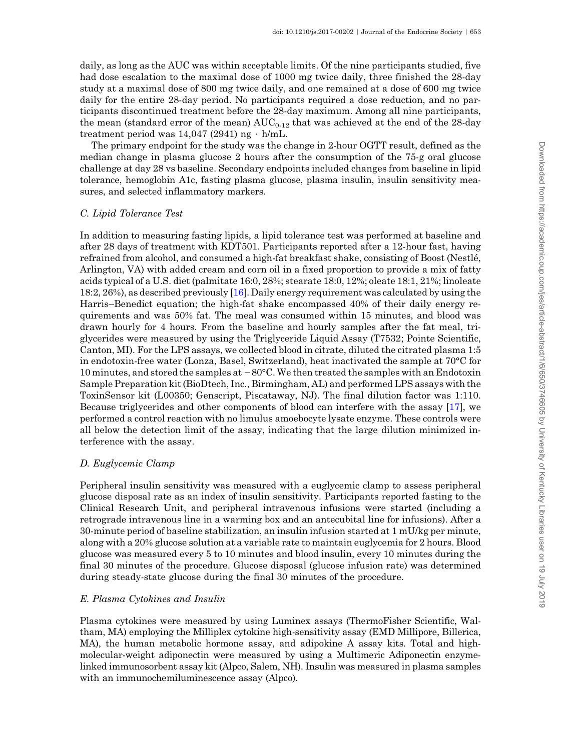daily, as long as the AUC was within acceptable limits. Of the nine participants studied, five had dose escalation to the maximal dose of 1000 mg twice daily, three finished the 28-day study at a maximal dose of 800 mg twice daily, and one remained at a dose of 600 mg twice daily for the entire 28-day period. No participants required a dose reduction, and no participants discontinued treatment before the 28-day maximum. Among all nine participants, the mean (standard error of the mean)  $AUC_{0.12}$  that was achieved at the end of the 28-day treatment period was 14,047 (2941) ng  $\cdot$  h/mL.

The primary endpoint for the study was the change in 2-hour OGTT result, defined as the median change in plasma glucose 2 hours after the consumption of the 75-g oral glucose challenge at day 28 vs baseline. Secondary endpoints included changes from baseline in lipid tolerance, hemoglobin A1c, fasting plasma glucose, plasma insulin, insulin sensitivity measures, and selected inflammatory markers.

### C. Lipid Tolerance Test

In addition to measuring fasting lipids, a lipid tolerance test was performed at baseline and after 28 days of treatment with KDT501. Participants reported after a 12-hour fast, having refrained from alcohol, and consumed a high-fat breakfast shake, consisting of Boost (Nestlé, Arlington, VA) with added cream and corn oil in a fixed proportion to provide a mix of fatty acids typical of a U.S. diet (palmitate 16:0, 28%; stearate 18:0, 12%; oleate 18:1, 21%; linoleate 18:2, 26%), as described previously [\[16](#page-11-0)]. Daily energy requirement was calculated by using the Harris–Benedict equation; the high-fat shake encompassed 40% of their daily energy requirements and was 50% fat. The meal was consumed within 15 minutes, and blood was drawn hourly for 4 hours. From the baseline and hourly samples after the fat meal, triglycerides were measured by using the Triglyceride Liquid Assay (T7532; Pointe Scientific, Canton, MI). For the LPS assays, we collected blood in citrate, diluted the citrated plasma 1:5 in endotoxin-free water (Lonza, Basel, Switzerland), heat inactivated the sample at 70°C for 10 minutes, and stored the samples at  $-80^{\circ}$ C. We then treated the samples with an Endotoxin Sample Preparation kit (BioDtech, Inc., Birmingham, AL) and performed LPS assays with the ToxinSensor kit (L00350; Genscript, Piscataway, NJ). The final dilution factor was 1:110. Because triglycerides and other components of blood can interfere with the assay [[17\]](#page-11-0), we performed a control reaction with no limulus amoebocyte lysate enzyme. These controls were all below the detection limit of the assay, indicating that the large dilution minimized interference with the assay.

#### D. Euglycemic Clamp

Peripheral insulin sensitivity was measured with a euglycemic clamp to assess peripheral glucose disposal rate as an index of insulin sensitivity. Participants reported fasting to the Clinical Research Unit, and peripheral intravenous infusions were started (including a retrograde intravenous line in a warming box and an antecubital line for infusions). After a 30-minute period of baseline stabilization, an insulin infusion started at 1 mU/kg per minute, along with a 20% glucose solution at a variable rate to maintain euglycemia for 2 hours. Blood glucose was measured every 5 to 10 minutes and blood insulin, every 10 minutes during the final 30 minutes of the procedure. Glucose disposal (glucose infusion rate) was determined during steady-state glucose during the final 30 minutes of the procedure.

#### E. Plasma Cytokines and Insulin

Plasma cytokines were measured by using Luminex assays (ThermoFisher Scientific, Waltham, MA) employing the Milliplex cytokine high-sensitivity assay (EMD Millipore, Billerica, MA), the human metabolic hormone assay, and adipokine A assay kits. Total and highmolecular-weight adiponectin were measured by using a Multimeric Adiponectin enzymelinked immunosorbent assay kit (Alpco, Salem, NH). Insulin was measured in plasma samples with an immunochemiluminescence assay (Alpco).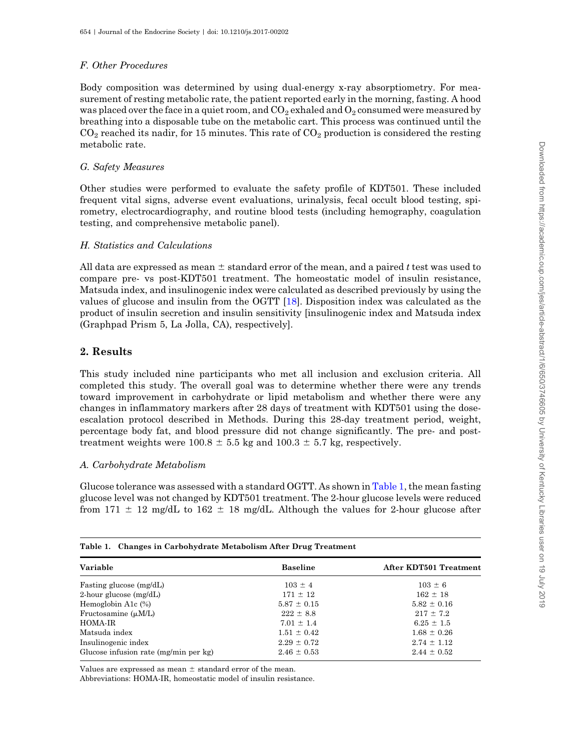## <span id="page-6-0"></span>F. Other Procedures

Body composition was determined by using dual-energy x-ray absorptiometry. For measurement of resting metabolic rate, the patient reported early in the morning, fasting. A hood was placed over the face in a quiet room, and  $CO<sub>2</sub>$  exhaled and  $O<sub>2</sub>$  consumed were measured by breathing into a disposable tube on the metabolic cart. This process was continued until the  $CO<sub>2</sub>$  reached its nadir, for 15 minutes. This rate of  $CO<sub>2</sub>$  production is considered the resting metabolic rate.

## G. Safety Measures

Other studies were performed to evaluate the safety profile of KDT501. These included frequent vital signs, adverse event evaluations, urinalysis, fecal occult blood testing, spirometry, electrocardiography, and routine blood tests (including hemography, coagulation testing, and comprehensive metabolic panel).

## H. Statistics and Calculations

All data are expressed as mean  $\pm$  standard error of the mean, and a paired t test was used to compare pre- vs post-KDT501 treatment. The homeostatic model of insulin resistance, Matsuda index, and insulinogenic index were calculated as described previously by using the values of glucose and insulin from the OGTT [[18\]](#page-11-0). Disposition index was calculated as the product of insulin secretion and insulin sensitivity [insulinogenic index and Matsuda index (Graphpad Prism 5, La Jolla, CA), respectively].

## 2. Results

This study included nine participants who met all inclusion and exclusion criteria. All completed this study. The overall goal was to determine whether there were any trends toward improvement in carbohydrate or lipid metabolism and whether there were any changes in inflammatory markers after 28 days of treatment with KDT501 using the doseescalation protocol described in Methods. During this 28-day treatment period, weight, percentage body fat, and blood pressure did not change significantly. The pre- and posttreatment weights were  $100.8 \pm 5.5$  kg and  $100.3 \pm 5.7$  kg, respectively.

Downloaded from https://academic.oup.com/jes/article-abstract/1/6/650/3746605 by University of Kentucky Libraries user on 19 July 2019 Downloaded from https://academic.oup.com/jes/article-abstract/1/6/650/3746605 by University of Kentucky Libraries user on 19 July 2019

## A. Carbohydrate Metabolism

Glucose tolerance was assessed with a standard OGTT. As shown in Table 1, the mean fasting glucose level was not changed by KDT501 treatment. The 2-hour glucose levels were reduced from 171  $\pm$  12 mg/dL to 162  $\pm$  18 mg/dL. Although the values for 2-hour glucose after

| Table 1. Changes in Carbohydrate Metabolism After Drug Treatment |                 |                        |  |  |  |
|------------------------------------------------------------------|-----------------|------------------------|--|--|--|
| Variable                                                         | <b>Baseline</b> | After KDT501 Treatment |  |  |  |
| Fasting glucose (mg/dL)                                          | $103 \pm 4$     | $103 \pm 6$            |  |  |  |
| 2-hour glucose $(mg/dL)$                                         | $171 \pm 12$    | $162 \pm 18$           |  |  |  |
| Hemoglobin A1 $c$ $(\%)$                                         | $5.87 \pm 0.15$ | $5.82 \pm 0.16$        |  |  |  |
| Fructosamine $(\mu M/L)$                                         | $222 \pm 8.8$   | $217 \pm 7.2$          |  |  |  |
| HOMA-IR                                                          | $7.01 \pm 1.4$  | $6.25 \pm 1.5$         |  |  |  |
| Matsuda index                                                    | $1.51 \pm 0.42$ | $1.68 \pm 0.26$        |  |  |  |
| Insulinogenic index                                              | $2.29 \pm 0.72$ | $2.74 \pm 1.12$        |  |  |  |
| Glucose infusion rate (mg/min per kg)                            | $2.46 \pm 0.53$ | $2.44 \pm 0.52$        |  |  |  |

Values are expressed as mean  $\pm$  standard error of the mean.

Abbreviations: HOMA-IR, homeostatic model of insulin resistance.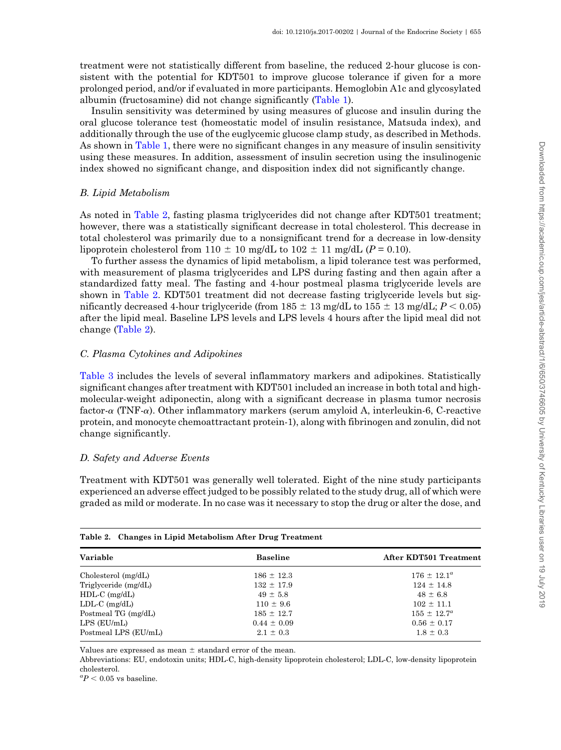treatment were not statistically different from baseline, the reduced 2-hour glucose is consistent with the potential for KDT501 to improve glucose tolerance if given for a more prolonged period, and/or if evaluated in more participants. Hemoglobin A1c and glycosylated albumin (fructosamine) did not change significantly [\(Table 1\)](#page-6-0).

Insulin sensitivity was determined by using measures of glucose and insulin during the oral glucose tolerance test (homeostatic model of insulin resistance, Matsuda index), and additionally through the use of the euglycemic glucose clamp study, as described in Methods. As shown in [Table 1](#page-6-0), there were no significant changes in any measure of insulin sensitivity using these measures. In addition, assessment of insulin secretion using the insulinogenic index showed no significant change, and disposition index did not significantly change.

### B. Lipid Metabolism

As noted in Table 2, fasting plasma triglycerides did not change after KDT501 treatment; however, there was a statistically significant decrease in total cholesterol. This decrease in total cholesterol was primarily due to a nonsignificant trend for a decrease in low-density lipoprotein cholesterol from 110  $\pm$  10 mg/dL to 102  $\pm$  11 mg/dL (P = 0.10).

To further assess the dynamics of lipid metabolism, a lipid tolerance test was performed, with measurement of plasma triglycerides and LPS during fasting and then again after a standardized fatty meal. The fasting and 4-hour postmeal plasma triglyceride levels are shown in Table 2. KDT501 treatment did not decrease fasting triglyceride levels but significantly decreased 4-hour triglyceride (from  $185 \pm 13$  mg/dL to  $155 \pm 13$  mg/dL;  $P < 0.05$ ) after the lipid meal. Baseline LPS levels and LPS levels 4 hours after the lipid meal did not change (Table 2).

## C. Plasma Cytokines and Adipokines

[Table 3](#page-8-0) includes the levels of several inflammatory markers and adipokines. Statistically significant changes after treatment with KDT501 included an increase in both total and highmolecular-weight adiponectin, along with a significant decrease in plasma tumor necrosis factor- $\alpha$  (TNF- $\alpha$ ). Other inflammatory markers (serum amyloid A, interleukin-6, C-reactive protein, and monocyte chemoattractant protein-1), along with fibrinogen and zonulin, did not change significantly.

## D. Safety and Adverse Events

Treatment with KDT501 was generally well tolerated. Eight of the nine study participants experienced an adverse effect judged to be possibly related to the study drug, all of which were graded as mild or moderate. In no case was it necessary to stop the drug or alter the dose, and

| Table 2. Changes in Eilpiu metabolism After Drug Treatment |                        |  |  |  |
|------------------------------------------------------------|------------------------|--|--|--|
| <b>Baseline</b>                                            | After KDT501 Treatment |  |  |  |
| $186 \pm 12.3$                                             | $176 \pm 12.1^{\circ}$ |  |  |  |
| $132 \pm 17.9$                                             | $124 \pm 14.8$         |  |  |  |
| $49 \pm 5.8$                                               | $48 \pm 6.8$           |  |  |  |
| $110 \pm 9.6$                                              | $102 \pm 11.1$         |  |  |  |
| $185 \pm 12.7$                                             | $155 \pm 12.7^a$       |  |  |  |
| $0.44 \pm 0.09$                                            | $0.56 \pm 0.17$        |  |  |  |
| $2.1 \pm 0.3$                                              | $1.8 \pm 0.3$          |  |  |  |
|                                                            |                        |  |  |  |

#### Table 2. Changes in Lipid Metabolism After Drug Treatment

Values are expressed as mean  $\pm$  standard error of the mean.

Abbreviations: EU, endotoxin units; HDL-C, high-density lipoprotein cholesterol; LDL-C, low-density lipoprotein cholesterol.

 ${}^{a}P$  < 0.05 vs baseline.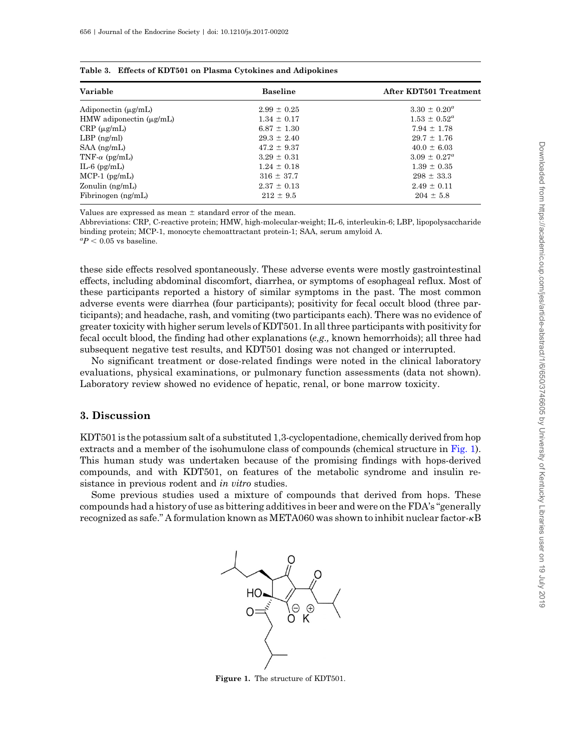| Variable                       | <b>Baseline</b> | After KDT501 Treatment  |  |
|--------------------------------|-----------------|-------------------------|--|
| Adiponectin $(\mu g/mL)$       | $2.99 \pm 0.25$ | $3.30 \pm 0.20^a$       |  |
| $HMW$ adiponectin $(\mu g/mL)$ | $1.34 \pm 0.17$ | $1.53 \pm 0.52^{\circ}$ |  |
| $CRP(\mu g/mL)$                | $6.87 \pm 1.30$ | $7.94 \pm 1.78$         |  |
| $LBP$ (ng/ml)                  | $29.3 \pm 2.40$ | $29.7 \pm 1.76$         |  |
| $SAA$ (ng/mL)                  | $47.2 \pm 9.37$ | $40.0 \pm 6.03$         |  |
| TNF- $\alpha$ (pg/mL)          | $3.29 \pm 0.31$ | $3.09 \pm 0.27^a$       |  |
| $IL-6$ (pg/m $L$ )             | $1.24 \pm 0.18$ | $1.39 \pm 0.35$         |  |
| $MCP-1$ (pg/mL)                | $316 \pm 37.7$  | $298 \pm 33.3$          |  |
| Zonulin $(ng/mL)$              | $2.37 \pm 0.13$ | $2.49 \pm 0.11$         |  |
| Fibrinogen (ng/mL)             | $212 \pm 9.5$   | $204 \pm 5.8$           |  |

<span id="page-8-0"></span>

|  | Table 3. Effects of KDT501 on Plasma Cytokines and Adipokines |  |  |  |
|--|---------------------------------------------------------------|--|--|--|
|--|---------------------------------------------------------------|--|--|--|

Values are expressed as mean  $\pm$  standard error of the mean.

Abbreviations: CRP, C-reactive protein; HMW, high-molecular-weight; IL-6, interleukin-6; LBP, lipopolysaccharide binding protein; MCP-1, monocyte chemoattractant protein-1; SAA, serum amyloid A.

 ${}^{a}P$  < 0.05 vs baseline.

these side effects resolved spontaneously. These adverse events were mostly gastrointestinal effects, including abdominal discomfort, diarrhea, or symptoms of esophageal reflux. Most of these participants reported a history of similar symptoms in the past. The most common adverse events were diarrhea (four participants); positivity for fecal occult blood (three participants); and headache, rash, and vomiting (two participants each). There was no evidence of greater toxicity with higher serum levels of KDT501. In all three participants with positivity for fecal occult blood, the finding had other explanations (e.g., known hemorrhoids); all three had subsequent negative test results, and KDT501 dosing was not changed or interrupted.

No significant treatment or dose-related findings were noted in the clinical laboratory evaluations, physical examinations, or pulmonary function assessments (data not shown). Laboratory review showed no evidence of hepatic, renal, or bone marrow toxicity.

## 3. Discussion

KDT501 is the potassium salt of a substituted 1,3-cyclopentadione, chemically derived from hop extracts and a member of the isohumulone class of compounds (chemical structure in Fig. 1). This human study was undertaken because of the promising findings with hops-derived compounds, and with KDT501, on features of the metabolic syndrome and insulin resistance in previous rodent and *in vitro* studies.

Some previous studies used a mixture of compounds that derived from hops. These compounds had a history of use as bittering additives in beer and were on the FDA's "generally recognized as safe." A formulation known as META060 was shown to inhibit nuclear factor- $\kappa$ B



Figure 1. The structure of KDT501.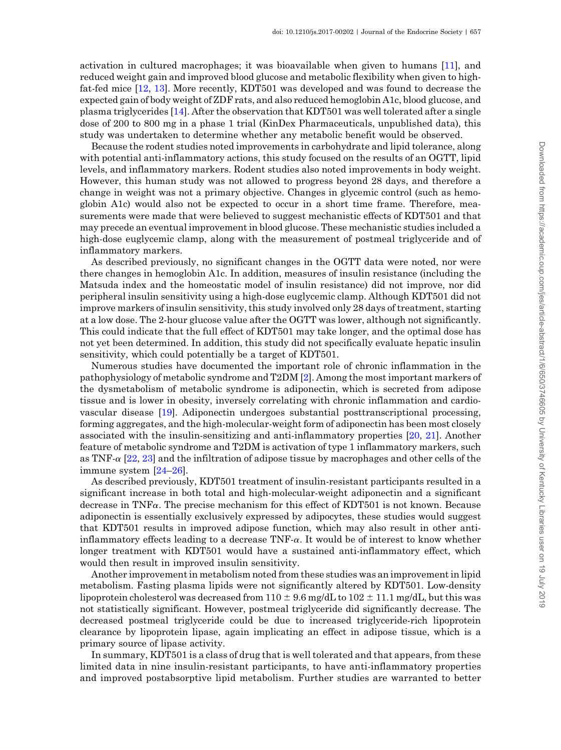activation in cultured macrophages; it was bioavailable when given to humans [\[11](#page-10-0)], and reduced weight gain and improved blood glucose and metabolic flexibility when given to highfat-fed mice [[12,](#page-10-0) [13\]](#page-10-0). More recently, KDT501 was developed and was found to decrease the expected gain of body weight of ZDF rats, and also reduced hemoglobin A1c, blood glucose, and plasma triglycerides [[14\]](#page-10-0). After the observation that KDT501 was well tolerated after a single dose of 200 to 800 mg in a phase 1 trial (KinDex Pharmaceuticals, unpublished data), this study was undertaken to determine whether any metabolic benefit would be observed.

Because the rodent studies noted improvements in carbohydrate and lipid tolerance, along with potential anti-inflammatory actions, this study focused on the results of an OGTT, lipid levels, and inflammatory markers. Rodent studies also noted improvements in body weight. However, this human study was not allowed to progress beyond 28 days, and therefore a change in weight was not a primary objective. Changes in glycemic control (such as hemoglobin A1c) would also not be expected to occur in a short time frame. Therefore, measurements were made that were believed to suggest mechanistic effects of KDT501 and that may precede an eventual improvement in blood glucose. These mechanistic studies included a high-dose euglycemic clamp, along with the measurement of postmeal triglyceride and of inflammatory markers.

As described previously, no significant changes in the OGTT data were noted, nor were there changes in hemoglobin A1c. In addition, measures of insulin resistance (including the Matsuda index and the homeostatic model of insulin resistance) did not improve, nor did peripheral insulin sensitivity using a high-dose euglycemic clamp. Although KDT501 did not improve markers of insulin sensitivity, this study involved only 28 days of treatment, starting at a low dose. The 2-hour glucose value after the OGTT was lower, although not significantly. This could indicate that the full effect of KDT501 may take longer, and the optimal dose has not yet been determined. In addition, this study did not specifically evaluate hepatic insulin sensitivity, which could potentially be a target of KDT501.

Numerous studies have documented the important role of chronic inflammation in the pathophysiology of metabolic syndrome and T2DM [\[2\]](#page-10-0). Among the most important markers of the dysmetabolism of metabolic syndrome is adiponectin, which is secreted from adipose tissue and is lower in obesity, inversely correlating with chronic inflammation and cardiovascular disease [\[19](#page-11-0)]. Adiponectin undergoes substantial posttranscriptional processing, forming aggregates, and the high-molecular-weight form of adiponectin has been most closely associated with the insulin-sensitizing and anti-inflammatory properties [[20,](#page-11-0) [21\]](#page-11-0). Another feature of metabolic syndrome and T2DM is activation of type 1 inflammatory markers, such as TNF- $\alpha$  [\[22](#page-11-0), [23](#page-11-0)] and the infiltration of adipose tissue by macrophages and other cells of the immune system [[24](#page-11-0)–[26](#page-11-0)].

As described previously, KDT501 treatment of insulin-resistant participants resulted in a significant increase in both total and high-molecular-weight adiponectin and a significant decrease in TNF $\alpha$ . The precise mechanism for this effect of KDT501 is not known. Because adiponectin is essentially exclusively expressed by adipocytes, these studies would suggest that KDT501 results in improved adipose function, which may also result in other antiinflammatory effects leading to a decrease  $TNF-\alpha$ . It would be of interest to know whether longer treatment with KDT501 would have a sustained anti-inflammatory effect, which would then result in improved insulin sensitivity.

Another improvement in metabolism noted from these studies was an improvement in lipid metabolism. Fasting plasma lipids were not significantly altered by KDT501. Low-density lipoprotein cholesterol was decreased from  $110 \pm 9.6$  mg/dL to  $102 \pm 11.1$  mg/dL, but this was not statistically significant. However, postmeal triglyceride did significantly decrease. The decreased postmeal triglyceride could be due to increased triglyceride-rich lipoprotein clearance by lipoprotein lipase, again implicating an effect in adipose tissue, which is a primary source of lipase activity.

In summary, KDT501 is a class of drug that is well tolerated and that appears, from these limited data in nine insulin-resistant participants, to have anti-inflammatory properties and improved postabsorptive lipid metabolism. Further studies are warranted to better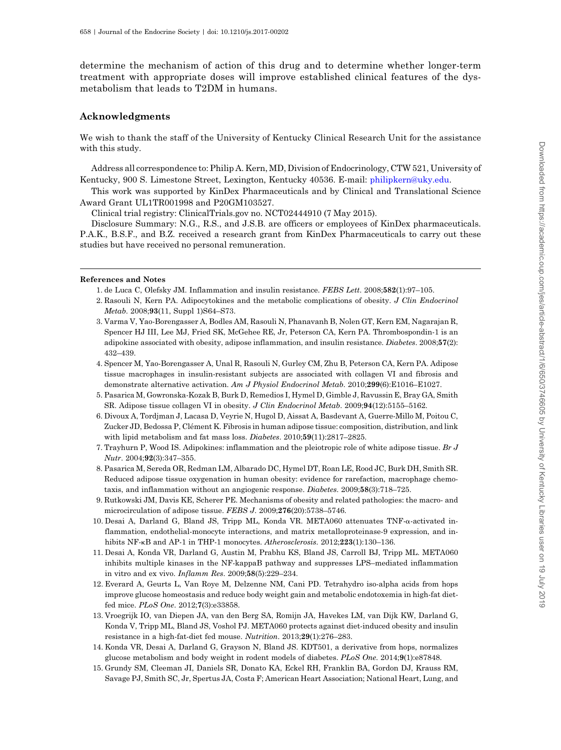<span id="page-10-0"></span>determine the mechanism of action of this drug and to determine whether longer-term treatment with appropriate doses will improve established clinical features of the dysmetabolism that leads to T2DM in humans.

## Acknowledgments

We wish to thank the staff of the University of Kentucky Clinical Research Unit for the assistance with this study.

Address all correspondence to: Philip A. Kern, MD, Division of Endocrinology, CTW 521, University of Kentucky, 900 S. Limestone Street, Lexington, Kentucky 40536. E-mail: [philipkern@uky.edu.](mailto:philipkern@uky.edu)

This work was supported by KinDex Pharmaceuticals and by Clinical and Translational Science Award Grant UL1TR001998 and P20GM103527.

Clinical trial registry: ClinicalTrials.gov no. NCT02444910 (7 May 2015).

Disclosure Summary: N.G., R.S., and J.S.B. are officers or employees of KinDex pharmaceuticals. P.A.K., B.S.F., and B.Z. received a research grant from KinDex Pharmaceuticals to carry out these studies but have received no personal remuneration.

#### References and Notes

- 1. de Luca C, Olefsky JM. Inflammation and insulin resistance. FEBS Lett. 2008;582(1):97–105.
- 2. Rasouli N, Kern PA. Adipocytokines and the metabolic complications of obesity. J Clin Endocrinol Metab. 2008;93(11, Suppl 1)S64–S73.
- 3. Varma V, Yao-Borengasser A, Bodles AM, Rasouli N, Phanavanh B, Nolen GT, Kern EM, Nagarajan R, Spencer HJ III, Lee MJ, Fried SK, McGehee RE, Jr, Peterson CA, Kern PA. Thrombospondin-1 is an adipokine associated with obesity, adipose inflammation, and insulin resistance. Diabetes. 2008;57(2): 432–439.
- 4. Spencer M, Yao-Borengasser A, Unal R, Rasouli N, Gurley CM, Zhu B, Peterson CA, Kern PA. Adipose tissue macrophages in insulin-resistant subjects are associated with collagen VI and fibrosis and demonstrate alternative activation. Am J Physiol Endocrinol Metab. 2010;299(6):E1016-E1027.
- 5. Pasarica M, Gowronska-Kozak B, Burk D, Remedios I, Hymel D, Gimble J, Ravussin E, Bray GA, Smith SR. Adipose tissue collagen VI in obesity. J Clin Endocrinol Metab. 2009;94(12):5155–5162.
- 6. Divoux A, Tordjman J, Lacasa D, Veyrie N, Hugol D, Aissat A, Basdevant A, Guerre-Millo M, Poitou C, Zucker JD, Bedossa P, Clément K. Fibrosis in human adipose tissue: composition, distribution, and link with lipid metabolism and fat mass loss. Diabetes. 2010;59(11):2817-2825.
- 7. Trayhurn P, Wood IS. Adipokines: inflammation and the pleiotropic role of white adipose tissue. Br J Nutr. 2004;92(3):347–355.
- 8. Pasarica M, Sereda OR, Redman LM, Albarado DC, Hymel DT, Roan LE, Rood JC, Burk DH, Smith SR. Reduced adipose tissue oxygenation in human obesity: evidence for rarefaction, macrophage chemotaxis, and inflammation without an angiogenic response. Diabetes. 2009;58(3):718–725.
- 9. Rutkowski JM, Davis KE, Scherer PE. Mechanisms of obesity and related pathologies: the macro- and microcirculation of adipose tissue. FEBS J. 2009;276(20):5738-5746.
- 10. Desai A, Darland G, Bland JS, Tripp ML, Konda VR. META060 attenuates TNF-a-activated inflammation, endothelial-monocyte interactions, and matrix metalloproteinase-9 expression, and inhibits NF-kB and AP-1 in THP-1 monocytes. Atherosclerosis. 2012;223(1):130–136.
- 11. Desai A, Konda VR, Darland G, Austin M, Prabhu KS, Bland JS, Carroll BJ, Tripp ML. META060 inhibits multiple kinases in the NF-kappaB pathway and suppresses LPS–mediated inflammation in vitro and ex vivo. Inflamm Res. 2009;58(5):229–234.
- 12. Everard A, Geurts L, Van Roye M, Delzenne NM, Cani PD. Tetrahydro iso-alpha acids from hops improve glucose homeostasis and reduce body weight gain and metabolic endotoxemia in high-fat dietfed mice. PLoS One. 2012;7(3):e33858.
- 13. Vroegrijk IO, van Diepen JA, van den Berg SA, Romijn JA, Havekes LM, van Dijk KW, Darland G, Konda V, Tripp ML, Bland JS, Voshol PJ. META060 protects against diet-induced obesity and insulin resistance in a high-fat-diet fed mouse. Nutrition. 2013;29(1):276–283.
- 14. Konda VR, Desai A, Darland G, Grayson N, Bland JS. KDT501, a derivative from hops, normalizes glucose metabolism and body weight in rodent models of diabetes. PLoS One. 2014;9(1):e87848.
- 15. Grundy SM, Cleeman JI, Daniels SR, Donato KA, Eckel RH, Franklin BA, Gordon DJ, Krauss RM, Savage PJ, Smith SC, Jr, Spertus JA, Costa F; American Heart Association; National Heart, Lung, and